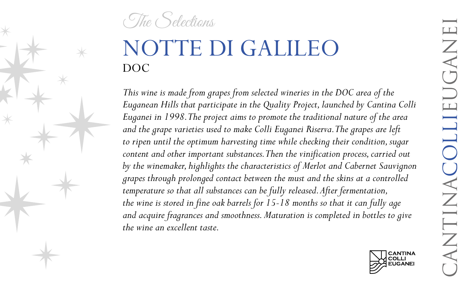The Selections

## NOTTE DI GALILEO DOC

*This wine is made from grapes from selected wineries in the DOC area of the Euganean Hills that participate in the Quality Project, launched by Cantina Colli Euganei in 1998. The project aims to promote the traditional nature of the area and the grape varieties used to make Colli Euganei Riserva. The grapes are left to ripen until the optimum harvesting time while checking their condition, sugar content and other important substances. Then the vinification process, carried out by the winemaker, highlights the characteristics of Merlot and Cabernet Sauvignon grapes through prolonged contact between the must and the skins at a controlled temperature so that all substances can be fully released. After fermentation, the wine is stored in fine oak barrels for 15-18 months so that it can fully age and acquire fragrances and smoothness. Maturation is completed in bottles to give the wine an excellent taste.*